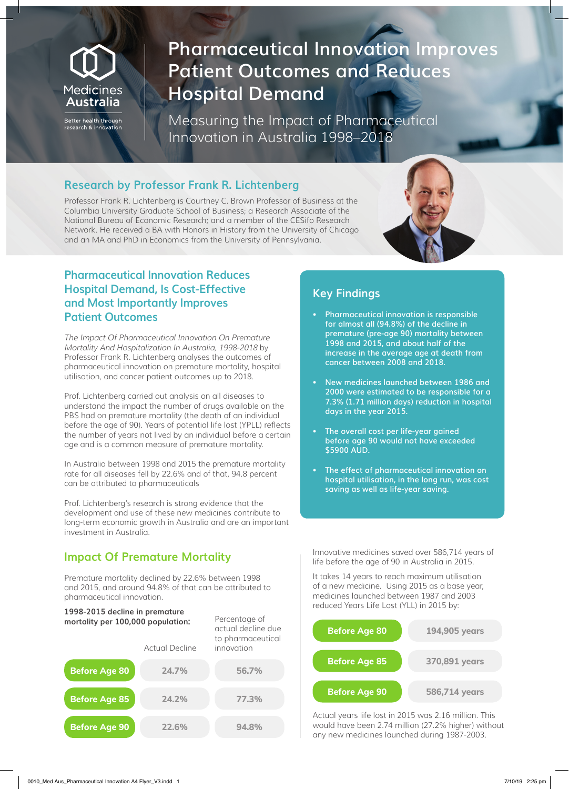# Medicines Australia

Better health through search & innovatior

# **Pharmaceutical Innovation Improves Patient Outcomes and Reduces Hospital Demand**

Measuring the Impact of Pharmaceutical Innovation in Australia 1998–2018

#### **Research by Professor Frank R. Lichtenberg**

Professor Frank R. Lichtenberg is Courtney C. Brown Professor of Business at the Columbia University Graduate School of Business; a Research Associate of the National Bureau of Economic Research; and a member of the CESifo Research Network. He received a BA with Honors in History from the University of Chicago and an MA and PhD in Economics from the University of Pennsylvania.

#### **Pharmaceutical Innovation Reduces Hospital Demand, Is Cost-Effective and Most Importantly Improves Patient Outcomes**

The Impact Of Pharmaceutical Innovation On Premature Mortality And Hospitalization In Australia, 1998-2018 by Professor Frank R. Lichtenberg analyses the outcomes of pharmaceutical innovation on premature mortality, hospital utilisation, and cancer patient outcomes up to 2018.

Prof. Lichtenberg carried out analysis on all diseases to understand the impact the number of drugs available on the PBS had on premature mortality (the death of an individual before the age of 90). Years of potential life lost (YPLL) reflects the number of years not lived by an individual before a certain age and is a common measure of premature mortality.

In Australia between 1998 and 2015 the premature mortality rate for all diseases fell by 22.6% and of that, 94.8 percent can be attributed to pharmaceuticals

Prof. Lichtenberg's research is strong evidence that the development and use of these new medicines contribute to long-term economic growth in Australia and are an important investment in Australia.

## **Impact Of Premature Mortality**

Premature mortality declined by 22.6% between 1998 and 2015, and around 94.8% of that can be attributed to pharmaceutical innovation.



## **Key Findings**

- **Pharmaceutical innovation is responsible for almost all (94.8%) of the decline in premature (pre-age 90) mortality between 1998 and 2015, and about half of the increase in the average age at death from cancer between 2008 and 2018.**
- **New medicines launched between 1986 and 2000 were estimated to be responsible for a 7.3% (1.71 million days) reduction in hospital days in the year 2015.**
- **The overall cost per life-year gained before age 90 would not have exceeded \$5900 AUD.**
- **• The effect of pharmaceutical innovation on hospital utilisation, in the long run, was cost saving as well as life-year saving.**

Innovative medicines saved over 586,714 years of life before the age of 90 in Australia in 2015.

It takes 14 years to reach maximum utilisation of a new medicine. Using 2015 as a base year, medicines launched between 1987 and 2003 reduced Years Life Lost (YLL) in 2015 by:



Actual years life lost in 2015 was 2.16 million. This would have been 2.74 million (27.2% higher) without any new medicines launched during 1987-2003.